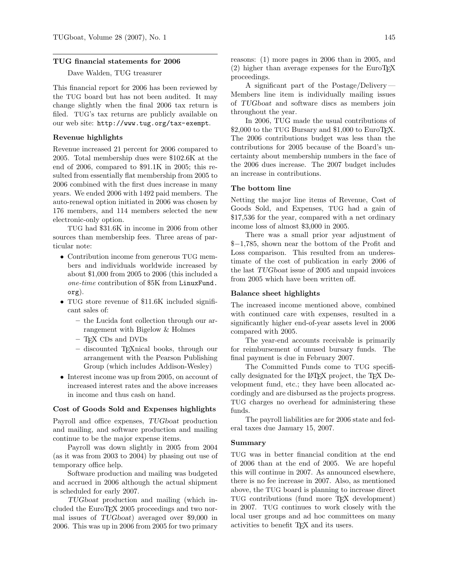#### TUG financial statements for 2006

Dave Walden, TUG treasurer

This financial report for 2006 has been reviewed by the TUG board but has not been audited. It may change slightly when the final 2006 tax return is filed. TUG's tax returns are publicly available on our web site: http://www.tug.org/tax-exempt.

## Revenue highlights

Revenue increased 21 percent for 2006 compared to 2005. Total membership dues were \$102.6K at the end of 2006, compared to \$91.1K in 2005; this resulted from essentially flat membership from 2005 to 2006 combined with the first dues increase in many years. We ended 2006 with 1492 paid members. The auto-renewal option initiated in 2006 was chosen by 176 members, and 114 members selected the new electronic-only option.

TUG had \$31.6K in income in 2006 from other sources than membership fees. Three areas of particular note:

- Contribution income from generous TUG members and individuals worldwide increased by about \$1,000 from 2005 to 2006 (this included a one-time contribution of \$5K from LinuxFund. org).
- TUG store revenue of \$11.6K included significant sales of:
	- the Lucida font collection through our arrangement with Bigelow & Holmes
	- TEX CDs and DVDs
	- discounted TEXnical books, through our arrangement with the Pearson Publishing Group (which includes Addison-Wesley)
- Interest income was up from 2005, on account of increased interest rates and the above increases in income and thus cash on hand.

## Cost of Goods Sold and Expenses highlights

Payroll and office expenses, TUGboat production and mailing, and software production and mailing continue to be the major expense items.

Payroll was down slightly in 2005 from 2004 (as it was from 2003 to 2004) by phasing out use of temporary office help.

Software production and mailing was budgeted and accrued in 2006 although the actual shipment is scheduled for early 2007.

TUGboat production and mailing (which included the EuroTEX 2005 proceedings and two normal issues of TUGboat) averaged over \$9,000 in 2006. This was up in 2006 from 2005 for two primary reasons: (1) more pages in 2006 than in 2005, and  $(2)$  higher than average expenses for the EuroTEX proceedings.

A significant part of the Postage/Delivery— Members line item is individually mailing issues of TUGboat and software discs as members join throughout the year.

In 2006, TUG made the usual contributions of \$2,000 to the TUG Bursary and \$1,000 to EuroT<sub>F</sub>X. The 2006 contributions budget was less than the contributions for 2005 because of the Board's uncertainty about membership numbers in the face of the 2006 dues increase. The 2007 budget includes an increase in contributions.

#### The bottom line

Netting the major line items of Revenue, Cost of Goods Sold, and Expenses, TUG had a gain of \$17,536 for the year, compared with a net ordinary income loss of almost \$3,000 in 2005.

There was a small prior year adjustment of \$−1,785, shown near the bottom of the Profit and Loss comparison. This resulted from an underestimate of the cost of publication in early 2006 of the last TUGboat issue of 2005 and unpaid invoices from 2005 which have been written off.

## Balance sheet highlights

The increased income mentioned above, combined with continued care with expenses, resulted in a significantly higher end-of-year assets level in 2006 compared with 2005.

The year-end accounts receivable is primarily for reimbursement of unused bursary funds. The final payment is due in February 2007.

The Committed Funds come to TUG specifically designated for the LATEX project, the TEX Development fund, etc.; they have been allocated accordingly and are disbursed as the projects progress. TUG charges no overhead for administering these funds.

The payroll liabilities are for 2006 state and federal taxes due January 15, 2007.

## Summary

TUG was in better financial condition at the end of 2006 than at the end of 2005. We are hopeful this will continue in 2007. As announced elsewhere, there is no fee increase in 2007. Also, as mentioned above, the TUG board is planning to increase direct TUG contributions (fund more TEX development) in 2007. TUG continues to work closely with the local user groups and ad hoc committees on many activities to benefit TEX and its users.